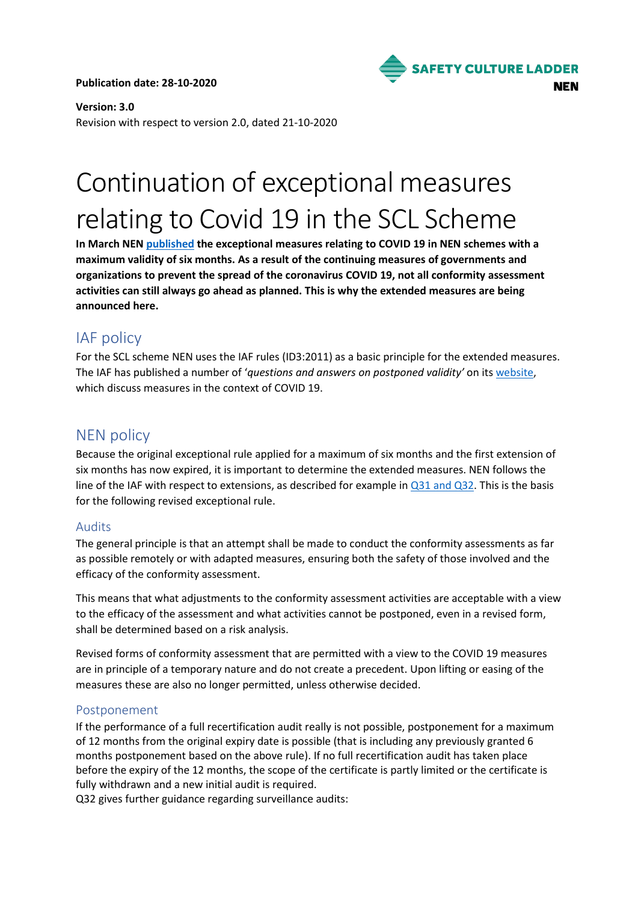**Publication date: 28-10-2020**



**Version: 3.0** Revision with respect to version 2.0, dated 21-10-2020

# Continuation of exceptional measures relating to Covid 19 in the SCL Scheme

**In March NE[N published](https://www.nen.nl/nieuws/corporate/uitzonderingsmaatregelen-ivm-corona-bij-nen-schemas/) the exceptional measures relating to COVID 19 in NEN schemes with a maximum validity of six months. As a result of the continuing measures of governments and organizations to prevent the spread of the coronavirus COVID 19, not all conformity assessment activities can still always go ahead as planned. This is why the extended measures are being announced here.**

# IAF policy

For the SCL scheme NEN uses the IAF rules (ID3:2011) as a basic principle for the extended measures. The IAF has published a number of '*questions and answers on postponed validity'* on its [website,](https://iaffaq.com/category/extending-validity/) which discuss measures in the context of COVID 19.

## NEN policy

Because the original exceptional rule applied for a maximum of six months and the first extension of six months has now expired, it is important to determine the extended measures. NEN follows the line of the IAF with respect to extensions, as described for example in [Q31](https://iaffaq.com/2020/09/07/q31-according-to-iso-iec-17021-12015-clause-9-6-3-1-1-planning-for-recertification-shall-conducted-in-due-time-to-enable-for-timely-renewal-before-the-certificate-expiry-date-is-this-clause-still/) and Q32. This is the basis for the following revised exceptional rule.

#### Audits

The general principle is that an attempt shall be made to conduct the conformity assessments as far as possible remotely or with adapted measures, ensuring both the safety of those involved and the efficacy of the conformity assessment.

This means that what adjustments to the conformity assessment activities are acceptable with a view to the efficacy of the assessment and what activities cannot be postponed, even in a revised form, shall be determined based on a risk analysis.

Revised forms of conformity assessment that are permitted with a view to the COVID 19 measures are in principle of a temporary nature and do not create a precedent. Upon lifting or easing of the measures these are also no longer permitted, unless otherwise decided.

#### Postponement

If the performance of a full recertification audit really is not possible, postponement for a maximum of 12 months from the original expiry date is possible (that is including any previously granted 6 months postponement based on the above rule). If no full recertification audit has taken place before the expiry of the 12 months, the scope of the certificate is partly limited or the certificate is fully withdrawn and a new initial audit is required.

Q32 gives further guidance regarding surveillance audits: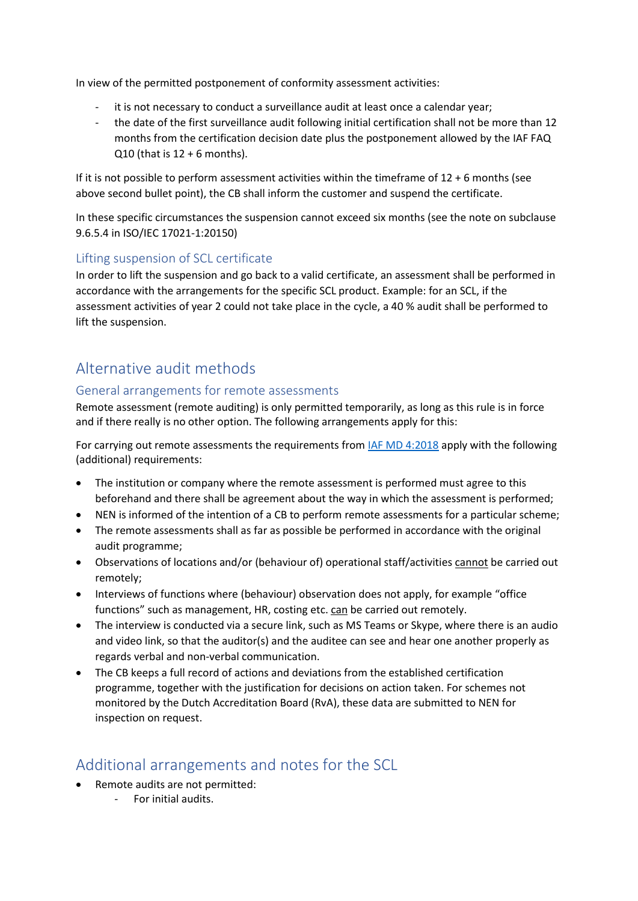In view of the permitted postponement of conformity assessment activities:

- it is not necessary to conduct a surveillance audit at least once a calendar year;
- the date of the first surveillance audit following initial certification shall not be more than 12 months from the certification decision date plus the postponement allowed by the IAF FAQ  $Q10$  (that is  $12 + 6$  months).

If it is not possible to perform assessment activities within the timeframe of  $12 + 6$  months (see above second bullet point), the CB shall inform the customer and suspend the certificate.

In these specific circumstances the suspension cannot exceed six months (see the note on subclause 9.6.5.4 in ISO/IEC 17021-1:20150)

#### Lifting suspension of SCL certificate

In order to lift the suspension and go back to a valid certificate, an assessment shall be performed in accordance with the arrangements for the specific SCL product. Example: for an SCL, if the assessment activities of year 2 could not take place in the cycle, a 40 % audit shall be performed to lift the suspension.

# Alternative audit methods

#### General arrangements for remote assessments

Remote assessment (remote auditing) is only permitted temporarily, as long as this rule is in force and if there really is no other option. The following arrangements apply for this:

For carrying out remote assessments the requirements from [IAF MD 4:2018](https://www.iaf.nu/upFiles/IAF%20MD4%20Issue%202%2003072018.pdf) apply with the following (additional) requirements:

- The institution or company where the remote assessment is performed must agree to this beforehand and there shall be agreement about the way in which the assessment is performed;
- NEN is informed of the intention of a CB to perform remote assessments for a particular scheme;
- The remote assessments shall as far as possible be performed in accordance with the original audit programme;
- Observations of locations and/or (behaviour of) operational staff/activities cannot be carried out remotely;
- Interviews of functions where (behaviour) observation does not apply, for example "office functions" such as management, HR, costing etc. can be carried out remotely.
- The interview is conducted via a secure link, such as MS Teams or Skype, where there is an audio and video link, so that the auditor(s) and the auditee can see and hear one another properly as regards verbal and non-verbal communication.
- The CB keeps a full record of actions and deviations from the established certification programme, together with the justification for decisions on action taken. For schemes not monitored by the Dutch Accreditation Board (RvA), these data are submitted to NEN for inspection on request.

## Additional arrangements and notes for the SCL

- Remote audits are not permitted:
	- For initial audits.